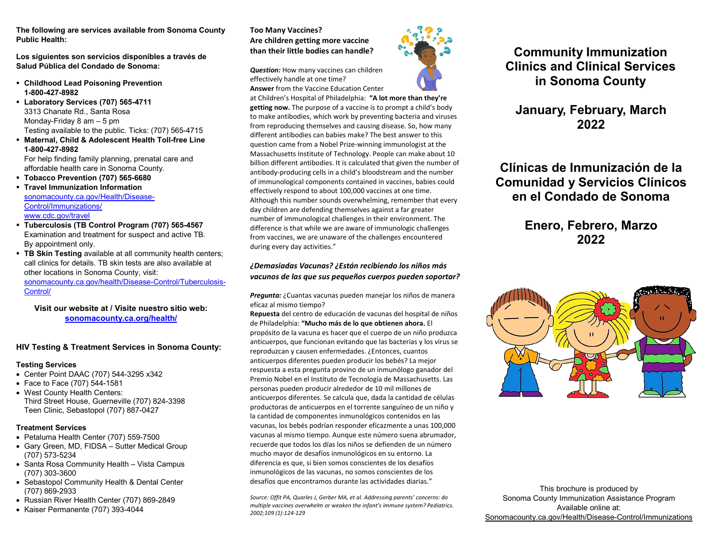**The following are services available from Sonoma County Public Health:**

**Los siguientes son servicios disponibles a través de Salud Pública del Condado de Sonoma:**

- **Childhood Lead Poisoning Prevention 1-800-427-8982**
- **Laboratory Services (707) 565-4711** 3313 Chanate Rd., Santa Rosa Monday-Friday 8 am – 5 pm Testing available to the public. Ticks: (707) 565-4715
- **Maternal, Child & Adolescent Health Toll-free Line 1-800-427-8982** For help finding family planning, prenatal care and

affordable health care in Sonoma County.

**Tobacco Prevention (707) 565-6680**

 **Travel Immunization Information** [sonomacounty.ca.gov/Health/Disease-](http://sonomacounty.ca.gov/Health/Disease-Control/Immunizations/)[Control/Immunizations/](http://sonomacounty.ca.gov/Health/Disease-Control/Immunizations/) [www.cdc.gov/travel](http://wwwnc.cdc.gov/Travel)

- **Tuberculosis (TB Control Program (707) 565-4567** Examination and treatment for suspect and active TB. By appointment only.
- **TB Skin Testing** available at all community health centers; call clinics for details. TB skin tests are also available at other locations in Sonoma County, visit: [sonomacounty.ca.gov/health/Disease-Control/Tuberculosis-](http://sonomacounty.ca.gov/Health/Disease-Control/Tuberculosis-Control/)[Control/](http://sonomacounty.ca.gov/Health/Disease-Control/Tuberculosis-Control/)

**Visit our website at / Visite nuestro sitio web: [sonomacounty.ca.org/health/](http://sonomacounty.ca.gov/Health-Services/)**

## **HIV Testing & Treatment Services in Sonoma County:**

#### **Testing Services**

- Center Point DAAC (707) 544-3295 x342
- Face to Face (707) 544-1581 • West County Health Centers: Third Street House, Guerneville (707) 824-3398 Teen Clinic, Sebastopol (707) 887-0427

## **Treatment Services**

- Petaluma Health Center (707) 559-7500
- Gary Green, MD, FIDSA Sutter Medical Group (707) 573-5234
- Santa Rosa Community Health Vista Campus (707) 303-3600
- Sebastopol Community Health & Dental Center (707) 869-2933
- Russian River Health Center (707) 869-2849
- Kaiser Permanente (707) 393-4044

## **Too Many Vaccines? Are children getting more vaccine than their little bodies can handle?**

*Question:* How many vaccines can children effectively handle at one time? **Answer** from the Vaccine Education Center



## *¿Demasiadas Vacunas? ¿Están recibiendo los niños más vacunos de las que sus pequeños cuerpos pueden soportar?*

*Pregunta:* ¿Cuantas vacunas pueden manejar los niños de manera eficaz al mismo tiempo?

**Repuesta** del centro de educación de vacunas del hospital de niños de Philadelphia: **"Mucho más de lo que obtienen ahora.** El propósito de la vacuna es hacer que el cuerpo de un niño produzca anticuerpos, que funcionan evitando que las bacterias y los virus se reproduzcan y causen enfermedades. ¿Entonces, cuantos anticuerpos diferentes pueden producir los bebés? La mejor respuesta a esta pregunta provino de un inmunólogo ganador del Premio Nobel en el Instituto de Tecnología de Massachusetts. Las personas pueden producir alrededor de 10 mil millones de anticuerpos diferentes. Se calcula que, dada la cantidad de células productoras de anticuerpos en el torrente sanguíneo de un niño y la cantidad de componentes inmunológicos contenidos en las vacunas, los bebés podrían responder eficazmente a unas 100,000 vacunas al mismo tiempo. Aunque este número suena abrumador, recuerde que todos los días los niños se defienden de un número mucho mayor de desafíos inmunológicos en su entorno. La diferencia es que, si bien somos conscientes de los desafíos inmunológicos de las vacunas, no somos conscientes de los desafíos que encontramos durante las actividades diarias."

*Source: Offit PA, Quarles J, Gerber MA, et al. Addressing parents' concerns: do multiple vaccines overwhelm or weaken the infant's immune system? Pediatrics. 2002;109 (1):124-129*



# **Community Immunization Clinics and Clinical Services in Sonoma County**

## **January, February, March 2022**

# **Clínicas de Inmunización de la Comunidad y Servicios Clínicos en el Condado de Sonoma**

# **Enero, Febrero, Marzo 2022**



This brochure is produced by Sonoma County Immunization Assistance Program Available online at: [Sonomacounty.ca.gov/Health/Disease-Control/Immunizations](http://sonomacounty.ca.gov/Health/Disease-Control/Immunizations/)